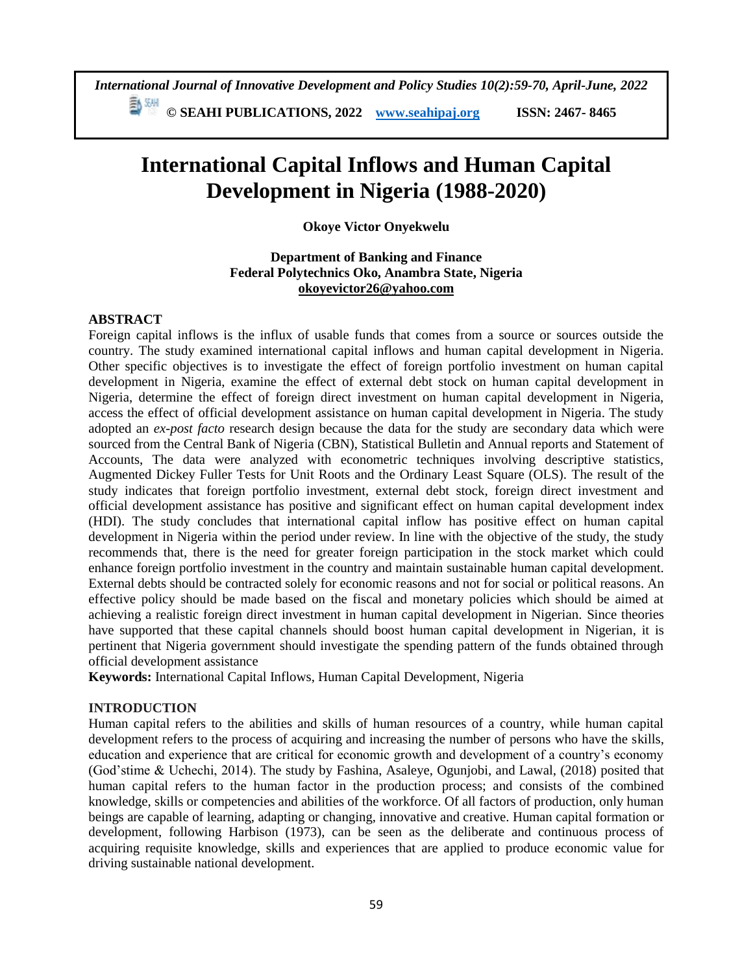*International Journal of Innovative Development and Policy Studies 10(2):59-70, April-June, 2022* **© SEAHI PUBLICATIONS, 2022 [www.seahipaj.org](http://www.seahipaj.org/) ISSN: 2467- 8465**

# **International Capital Inflows and Human Capital Development in Nigeria (1988-2020)**

## **Okoye Victor Onyekwelu**

## **Department of Banking and Finance Federal Polytechnics Oko, Anambra State, Nigeria [okoyevictor26@yahoo.com](mailto:okoyevictor26@yahoo.com)**

#### **ABSTRACT**

Foreign capital inflows is the influx of usable funds that comes from a source or sources outside the country. The study examined international capital inflows and human capital development in Nigeria. Other specific objectives is to investigate the effect of foreign portfolio investment on human capital development in Nigeria, examine the effect of external debt stock on human capital development in Nigeria, determine the effect of foreign direct investment on human capital development in Nigeria, access the effect of official development assistance on human capital development in Nigeria. The study adopted an *ex-post facto* research design because the data for the study are secondary data which were sourced from the Central Bank of Nigeria (CBN), Statistical Bulletin and Annual reports and Statement of Accounts, The data were analyzed with econometric techniques involving descriptive statistics, Augmented Dickey Fuller Tests for Unit Roots and the Ordinary Least Square (OLS). The result of the study indicates that foreign portfolio investment, external debt stock, foreign direct investment and official development assistance has positive and significant effect on human capital development index (HDI). The study concludes that international capital inflow has positive effect on human capital development in Nigeria within the period under review. In line with the objective of the study, the study recommends that, there is the need for greater foreign participation in the stock market which could enhance foreign portfolio investment in the country and maintain sustainable human capital development. External debts should be contracted solely for economic reasons and not for social or political reasons. An effective policy should be made based on the fiscal and monetary policies which should be aimed at achieving a realistic foreign direct investment in human capital development in Nigerian. Since theories have supported that these capital channels should boost human capital development in Nigerian, it is pertinent that Nigeria government should investigate the spending pattern of the funds obtained through official development assistance

**Keywords:** International Capital Inflows, Human Capital Development, Nigeria

## **INTRODUCTION**

Human capital refers to the abilities and skills of human resources of a country, while human capital development refers to the process of acquiring and increasing the number of persons who have the skills, education and experience that are critical for economic growth and development of a country's economy (God'stime & Uchechi, 2014). The study by Fashina, Asaleye, Ogunjobi, and Lawal, (2018) posited that human capital refers to the human factor in the production process; and consists of the combined knowledge, skills or competencies and abilities of the workforce. Of all factors of production, only human beings are capable of learning, adapting or changing, innovative and creative. Human capital formation or development, following Harbison (1973), can be seen as the deliberate and continuous process of acquiring requisite knowledge, skills and experiences that are applied to produce economic value for driving sustainable national development.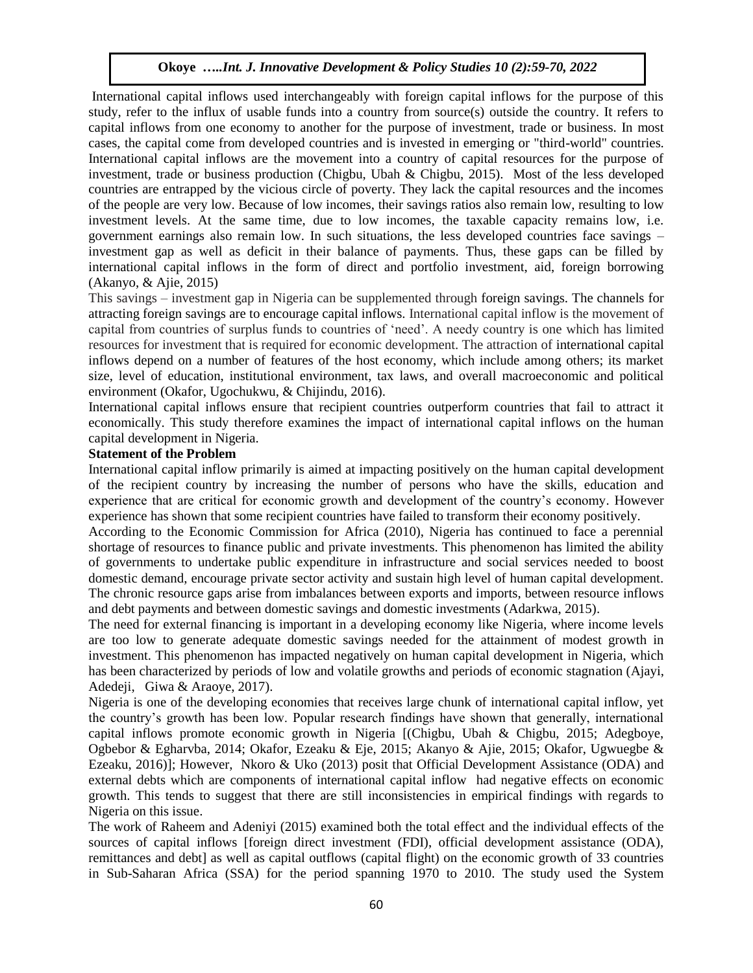International capital inflows used interchangeably with foreign capital inflows for the purpose of this study, refer to the influx of usable funds into a country from source(s) outside the country. It refers to capital inflows from one economy to another for the purpose of investment, trade or business. In most cases, the capital come from developed countries and is invested in emerging or "third-world" countries. International capital inflows are the movement into a country of capital resources for the purpose of investment, trade or business production (Chigbu, Ubah & Chigbu, 2015). Most of the less developed countries are entrapped by the vicious circle of poverty. They lack the capital resources and the incomes of the people are very low. Because of low incomes, their savings ratios also remain low, resulting to low investment levels. At the same time, due to low incomes, the taxable capacity remains low, i.e. government earnings also remain low. In such situations, the less developed countries face savings – investment gap as well as deficit in their balance of payments. Thus, these gaps can be filled by international capital inflows in the form of direct and portfolio investment, aid, foreign borrowing (Akanyo, & Ajie, 2015)

This savings – investment gap in Nigeria can be supplemented through foreign savings. The channels for attracting foreign savings are to encourage capital inflows. International capital inflow is the movement of capital from countries of surplus funds to countries of 'need'. A needy country is one which has limited resources for investment that is required for economic development. The attraction of international capital inflows depend on a number of features of the host economy, which include among others; its market size, level of education, institutional environment, tax laws, and overall macroeconomic and political environment (Okafor, Ugochukwu, & Chijindu, 2016).

International capital inflows ensure that recipient countries outperform countries that fail to attract it economically. This study therefore examines the impact of international capital inflows on the human capital development in Nigeria.

## **Statement of the Problem**

International capital inflow primarily is aimed at impacting positively on the human capital development of the recipient country by increasing the number of persons who have the skills, education and experience that are critical for economic growth and development of the country's economy. However experience has shown that some recipient countries have failed to transform their economy positively.

According to the Economic Commission for Africa (2010), Nigeria has continued to face a perennial shortage of resources to finance public and private investments. This phenomenon has limited the ability of governments to undertake public expenditure in infrastructure and social services needed to boost domestic demand, encourage private sector activity and sustain high level of human capital development. The chronic resource gaps arise from imbalances between exports and imports, between resource inflows and debt payments and between domestic savings and domestic investments (Adarkwa, 2015).

The need for external financing is important in a developing economy like Nigeria, where income levels are too low to generate adequate domestic savings needed for the attainment of modest growth in investment. This phenomenon has impacted negatively on human capital development in Nigeria, which has been characterized by periods of low and volatile growths and periods of economic stagnation (Ajayi, Adedeji, Giwa & Araoye, 2017).

Nigeria is one of the developing economies that receives large chunk of international capital inflow, yet the country's growth has been low. Popular research findings have shown that generally, international capital inflows promote economic growth in Nigeria [(Chigbu, Ubah & Chigbu, 2015; Adegboye, Ogbebor & Egharvba, 2014; Okafor, Ezeaku & Eje, 2015; Akanyo & Ajie, 2015; Okafor, Ugwuegbe & Ezeaku, 2016)]; However, Nkoro & Uko (2013) posit that Official Development Assistance (ODA) and external debts which are components of international capital inflow had negative effects on economic growth. This tends to suggest that there are still inconsistencies in empirical findings with regards to Nigeria on this issue.

The work of Raheem and Adeniyi (2015) examined both the total effect and the individual effects of the sources of capital inflows [foreign direct investment (FDI), official development assistance (ODA), remittances and debt] as well as capital outflows (capital flight) on the economic growth of 33 countries in Sub-Saharan Africa (SSA) for the period spanning 1970 to 2010. The study used the System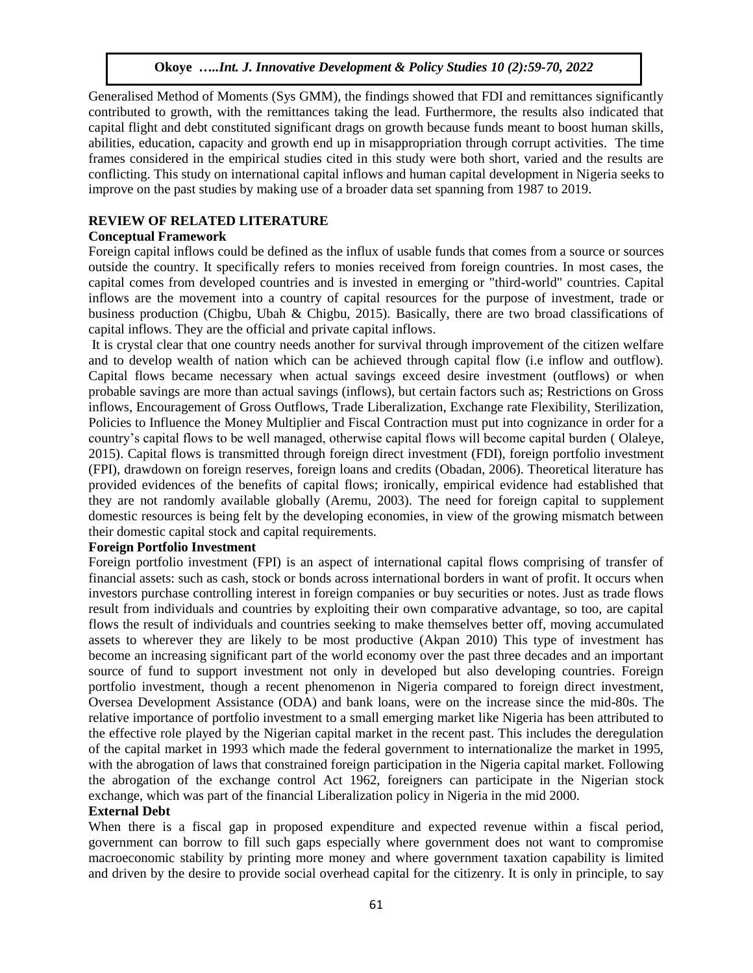Generalised Method of Moments (Sys GMM), the findings showed that FDI and remittances significantly contributed to growth, with the remittances taking the lead. Furthermore, the results also indicated that capital flight and debt constituted significant drags on growth because funds meant to boost human skills, abilities, education, capacity and growth end up in misappropriation through corrupt activities. The time frames considered in the empirical studies cited in this study were both short, varied and the results are conflicting. This study on international capital inflows and human capital development in Nigeria seeks to improve on the past studies by making use of a broader data set spanning from 1987 to 2019.

## **REVIEW OF RELATED LITERATURE**

## **Conceptual Framework**

Foreign capital inflows could be defined as the influx of usable funds that comes from a source or sources outside the country. It specifically refers to monies received from foreign countries. In most cases, the capital comes from developed countries and is invested in emerging or "third-world" countries. Capital inflows are the movement into a country of capital resources for the purpose of investment, trade or business production (Chigbu, Ubah & Chigbu, 2015). Basically, there are two broad classifications of capital inflows. They are the official and private capital inflows.

It is crystal clear that one country needs another for survival through improvement of the citizen welfare and to develop wealth of nation which can be achieved through capital flow (i.e inflow and outflow). Capital flows became necessary when actual savings exceed desire investment (outflows) or when probable savings are more than actual savings (inflows), but certain factors such as; Restrictions on Gross inflows, Encouragement of Gross Outflows, Trade Liberalization, Exchange rate Flexibility, Sterilization, Policies to Influence the Money Multiplier and Fiscal Contraction must put into cognizance in order for a country's capital flows to be well managed, otherwise capital flows will become capital burden ( Olaleye, 2015). Capital flows is transmitted through foreign direct investment (FDI), foreign portfolio investment (FPI), drawdown on foreign reserves, foreign loans and credits (Obadan, 2006). Theoretical literature has provided evidences of the benefits of capital flows; ironically, empirical evidence had established that they are not randomly available globally (Aremu, 2003). The need for foreign capital to supplement domestic resources is being felt by the developing economies, in view of the growing mismatch between their domestic capital stock and capital requirements.

#### **Foreign Portfolio Investment**

Foreign portfolio investment (FPI) is an aspect of international capital flows comprising of transfer of financial assets: such as cash, stock or bonds across international borders in want of profit. It occurs when investors purchase controlling interest in foreign companies or buy securities or notes. Just as trade flows result from individuals and countries by exploiting their own comparative advantage, so too, are capital flows the result of individuals and countries seeking to make themselves better off, moving accumulated assets to wherever they are likely to be most productive (Akpan 2010) This type of investment has become an increasing significant part of the world economy over the past three decades and an important source of fund to support investment not only in developed but also developing countries. Foreign portfolio investment, though a recent phenomenon in Nigeria compared to foreign direct investment, Oversea Development Assistance (ODA) and bank loans, were on the increase since the mid-80s. The relative importance of portfolio investment to a small emerging market like Nigeria has been attributed to the effective role played by the Nigerian capital market in the recent past. This includes the deregulation of the capital market in 1993 which made the federal government to internationalize the market in 1995, with the abrogation of laws that constrained foreign participation in the Nigeria capital market. Following the abrogation of the exchange control Act 1962, foreigners can participate in the Nigerian stock exchange, which was part of the financial Liberalization policy in Nigeria in the mid 2000.

## **External Debt**

When there is a fiscal gap in proposed expenditure and expected revenue within a fiscal period, government can borrow to fill such gaps especially where government does not want to compromise macroeconomic stability by printing more money and where government taxation capability is limited and driven by the desire to provide social overhead capital for the citizenry. It is only in principle, to say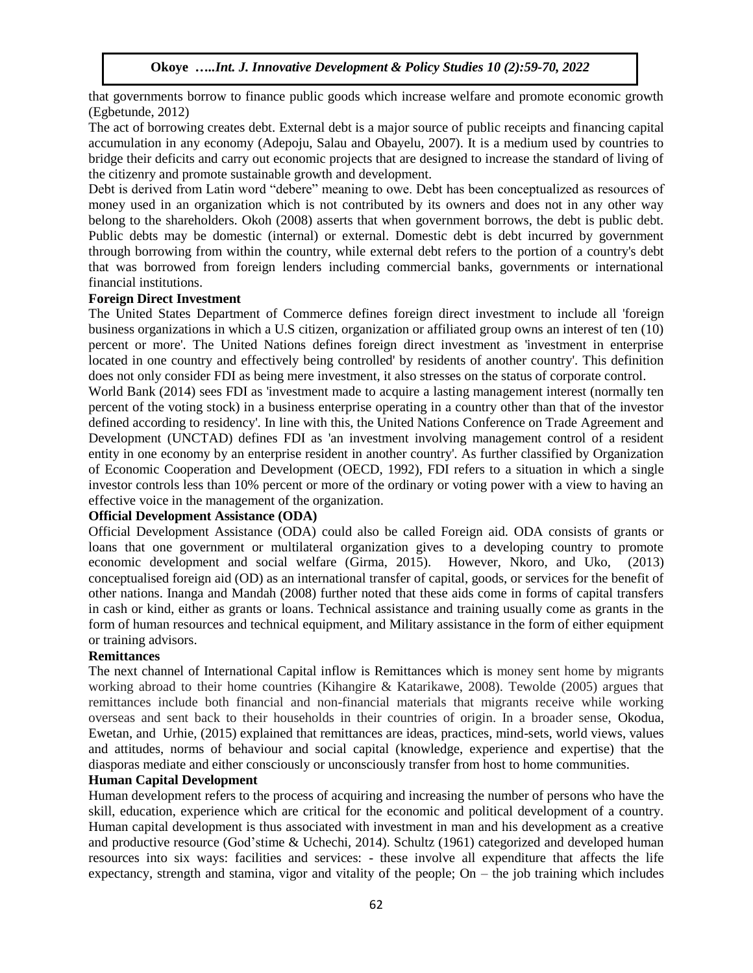that governments borrow to finance public goods which increase welfare and promote economic growth (Egbetunde, 2012)

The act of borrowing creates debt. External debt is a major source of public receipts and financing capital accumulation in any economy (Adepoju, Salau and Obayelu, 2007). It is a medium used by countries to bridge their deficits and carry out economic projects that are designed to increase the standard of living of the citizenry and promote sustainable growth and development.

Debt is derived from Latin word "debere" meaning to owe. Debt has been conceptualized as resources of money used in an organization which is not contributed by its owners and does not in any other way belong to the shareholders. Okoh (2008) asserts that when government borrows, the debt is public debt. Public debts may be domestic (internal) or external. Domestic debt is debt incurred by government through borrowing from within the country, while external debt refers to the portion of a country's debt that was borrowed from foreign lenders including commercial banks, governments or international financial institutions.

#### **Foreign Direct Investment**

The United States Department of Commerce defines foreign direct investment to include all 'foreign business organizations in which a U.S citizen, organization or affiliated group owns an interest of ten (10) percent or more'. The United Nations defines foreign direct investment as 'investment in enterprise located in one country and effectively being controlled' by residents of another country'. This definition does not only consider FDI as being mere investment, it also stresses on the status of corporate control.

World Bank (2014) sees FDI as 'investment made to acquire a lasting management interest (normally ten percent of the voting stock) in a business enterprise operating in a country other than that of the investor defined according to residency'. In line with this, the United Nations Conference on Trade Agreement and Development (UNCTAD) defines FDI as 'an investment involving management control of a resident entity in one economy by an enterprise resident in another country'. As further classified by Organization of Economic Cooperation and Development (OECD, 1992), FDI refers to a situation in which a single investor controls less than 10% percent or more of the ordinary or voting power with a view to having an effective voice in the management of the organization.

## **Official Development Assistance (ODA)**

Official Development Assistance (ODA) could also be called Foreign aid. ODA consists of grants or loans that one government or multilateral organization gives to a developing country to promote economic development and social welfare (Girma, 2015). However, Nkoro, and Uko, (2013) conceptualised foreign aid (OD) as an international transfer of capital, goods, or services for the benefit of other nations. Inanga and Mandah (2008) further noted that these aids come in forms of capital transfers in cash or kind, either as grants or loans. Technical assistance and training usually come as grants in the form of human resources and technical equipment, and Military assistance in the form of either equipment or training advisors.

#### **Remittances**

The next channel of International Capital inflow is Remittances which is money sent home by migrants working abroad to their home countries (Kihangire & Katarikawe, 2008). Tewolde (2005) argues that remittances include both financial and non-financial materials that migrants receive while working overseas and sent back to their households in their countries of origin. In a broader sense, Okodua, Ewetan, and Urhie, (2015) explained that remittances are ideas, practices, mind-sets, world views, values and attitudes, norms of behaviour and social capital (knowledge, experience and expertise) that the diasporas mediate and either consciously or unconsciously transfer from host to home communities.

## **Human Capital Development**

Human development refers to the process of acquiring and increasing the number of persons who have the skill, education, experience which are critical for the economic and political development of a country. Human capital development is thus associated with investment in man and his development as a creative and productive resource (God'stime & Uchechi, 2014). Schultz (1961) categorized and developed human resources into six ways: facilities and services: - these involve all expenditure that affects the life expectancy, strength and stamina, vigor and vitality of the people; On  $-$  the job training which includes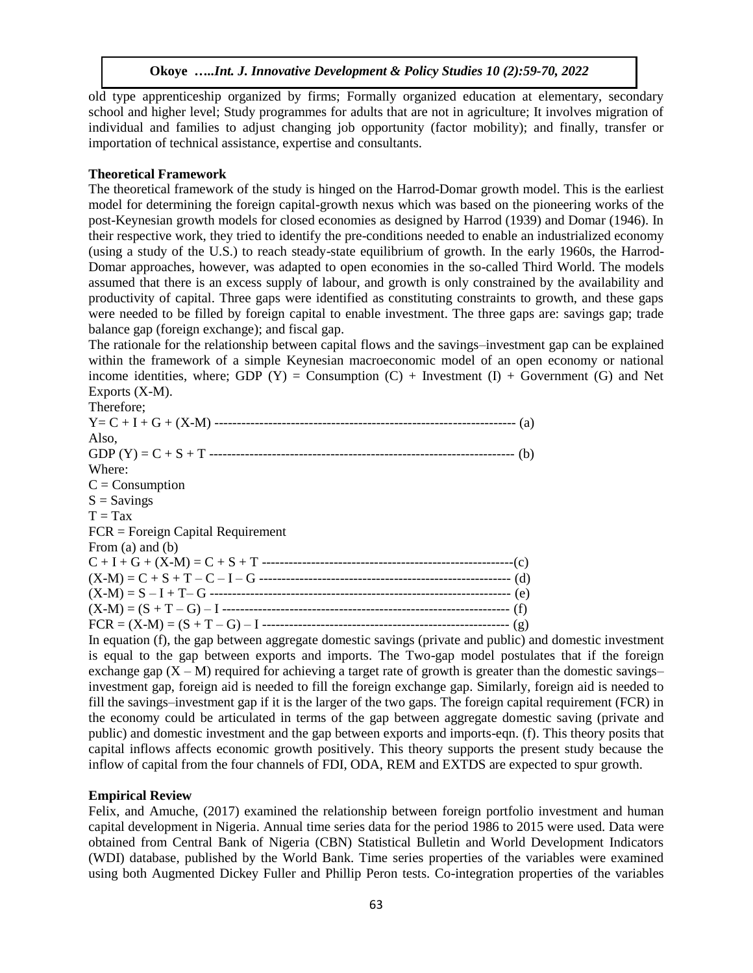old type apprenticeship organized by firms; Formally organized education at elementary, secondary school and higher level; Study programmes for adults that are not in agriculture; It involves migration of individual and families to adjust changing job opportunity (factor mobility); and finally, transfer or importation of technical assistance, expertise and consultants.

#### **Theoretical Framework**

The theoretical framework of the study is hinged on the Harrod-Domar growth model. This is the earliest model for determining the foreign capital-growth nexus which was based on the pioneering works of the post-Keynesian growth models for closed economies as designed by Harrod (1939) and Domar (1946). In their respective work, they tried to identify the pre-conditions needed to enable an industrialized economy (using a study of the U.S.) to reach steady-state equilibrium of growth. In the early 1960s, the Harrod-Domar approaches, however, was adapted to open economies in the so-called Third World. The models assumed that there is an excess supply of labour, and growth is only constrained by the availability and productivity of capital. Three gaps were identified as constituting constraints to growth, and these gaps were needed to be filled by foreign capital to enable investment. The three gaps are: savings gap; trade balance gap (foreign exchange); and fiscal gap.

The rationale for the relationship between capital flows and the savings–investment gap can be explained within the framework of a simple Keynesian macroeconomic model of an open economy or national income identities, where; GDP  $(Y)$  = Consumption  $(C)$  + Investment  $(I)$  + Government  $(G)$  and Net Exports (X-M).

In equation (f), the gap between aggregate domestic savings (private and public) and domestic investment is equal to the gap between exports and imports. The Two-gap model postulates that if the foreign exchange gap  $(X - M)$  required for achieving a target rate of growth is greater than the domestic savings– investment gap, foreign aid is needed to fill the foreign exchange gap. Similarly, foreign aid is needed to fill the savings–investment gap if it is the larger of the two gaps. The foreign capital requirement (FCR) in the economy could be articulated in terms of the gap between aggregate domestic saving (private and public) and domestic investment and the gap between exports and imports-eqn. (f). This theory posits that capital inflows affects economic growth positively. This theory supports the present study because the inflow of capital from the four channels of FDI, ODA, REM and EXTDS are expected to spur growth.

## **Empirical Review**

Felix, and Amuche, (2017) examined the relationship between foreign portfolio investment and human capital development in Nigeria. Annual time series data for the period 1986 to 2015 were used. Data were obtained from Central Bank of Nigeria (CBN) Statistical Bulletin and World Development Indicators (WDI) database, published by the World Bank. Time series properties of the variables were examined using both Augmented Dickey Fuller and Phillip Peron tests. Co-integration properties of the variables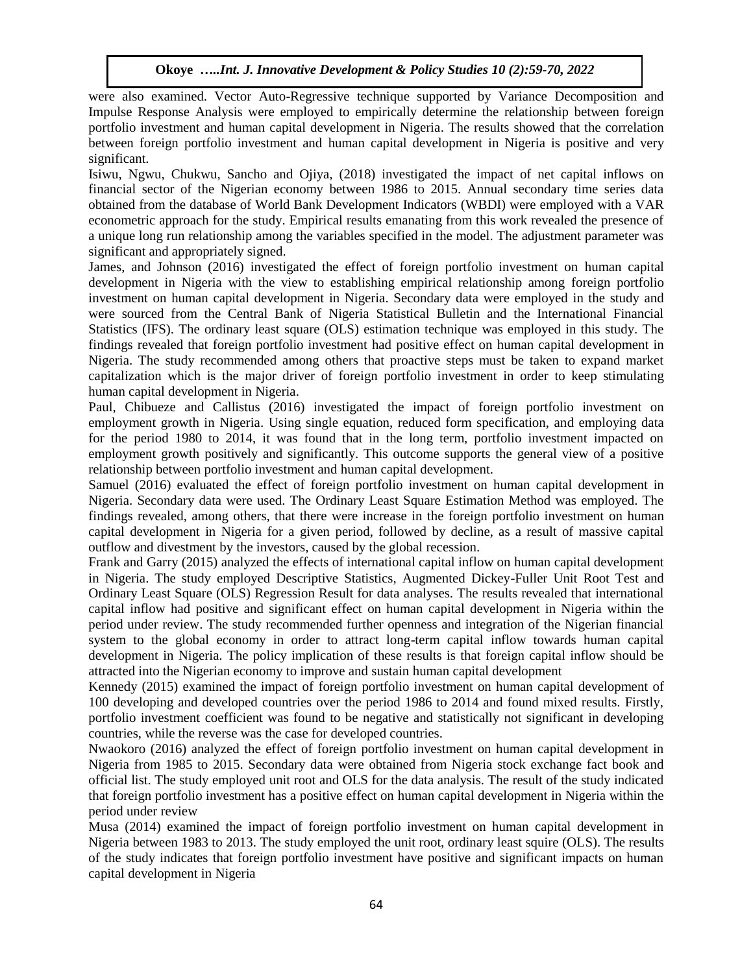were also examined. Vector Auto-Regressive technique supported by Variance Decomposition and Impulse Response Analysis were employed to empirically determine the relationship between foreign portfolio investment and human capital development in Nigeria. The results showed that the correlation between foreign portfolio investment and human capital development in Nigeria is positive and very significant.

Isiwu, Ngwu, Chukwu, Sancho and Ojiya, (2018) investigated the impact of net capital inflows on financial sector of the Nigerian economy between 1986 to 2015. Annual secondary time series data obtained from the database of World Bank Development Indicators (WBDI) were employed with a VAR econometric approach for the study. Empirical results emanating from this work revealed the presence of a unique long run relationship among the variables specified in the model. The adjustment parameter was significant and appropriately signed.

James, and Johnson (2016) investigated the effect of foreign portfolio investment on human capital development in Nigeria with the view to establishing empirical relationship among foreign portfolio investment on human capital development in Nigeria. Secondary data were employed in the study and were sourced from the Central Bank of Nigeria Statistical Bulletin and the International Financial Statistics (IFS). The ordinary least square (OLS) estimation technique was employed in this study. The findings revealed that foreign portfolio investment had positive effect on human capital development in Nigeria. The study recommended among others that proactive steps must be taken to expand market capitalization which is the major driver of foreign portfolio investment in order to keep stimulating human capital development in Nigeria.

Paul, Chibueze and Callistus (2016) investigated the impact of foreign portfolio investment on employment growth in Nigeria. Using single equation, reduced form specification, and employing data for the period 1980 to 2014, it was found that in the long term, portfolio investment impacted on employment growth positively and significantly. This outcome supports the general view of a positive relationship between portfolio investment and human capital development.

Samuel (2016) evaluated the effect of foreign portfolio investment on human capital development in Nigeria. Secondary data were used. The Ordinary Least Square Estimation Method was employed. The findings revealed, among others, that there were increase in the foreign portfolio investment on human capital development in Nigeria for a given period, followed by decline, as a result of massive capital outflow and divestment by the investors, caused by the global recession.

Frank and Garry (2015) analyzed the effects of international capital inflow on human capital development in Nigeria. The study employed Descriptive Statistics, Augmented Dickey-Fuller Unit Root Test and Ordinary Least Square (OLS) Regression Result for data analyses. The results revealed that international capital inflow had positive and significant effect on human capital development in Nigeria within the period under review. The study recommended further openness and integration of the Nigerian financial system to the global economy in order to attract long-term capital inflow towards human capital development in Nigeria. The policy implication of these results is that foreign capital inflow should be attracted into the Nigerian economy to improve and sustain human capital development

Kennedy (2015) examined the impact of foreign portfolio investment on human capital development of 100 developing and developed countries over the period 1986 to 2014 and found mixed results. Firstly, portfolio investment coefficient was found to be negative and statistically not significant in developing countries, while the reverse was the case for developed countries.

Nwaokoro (2016) analyzed the effect of foreign portfolio investment on human capital development in Nigeria from 1985 to 2015. Secondary data were obtained from Nigeria stock exchange fact book and official list. The study employed unit root and OLS for the data analysis. The result of the study indicated that foreign portfolio investment has a positive effect on human capital development in Nigeria within the period under review

Musa (2014) examined the impact of foreign portfolio investment on human capital development in Nigeria between 1983 to 2013. The study employed the unit root, ordinary least squire (OLS). The results of the study indicates that foreign portfolio investment have positive and significant impacts on human capital development in Nigeria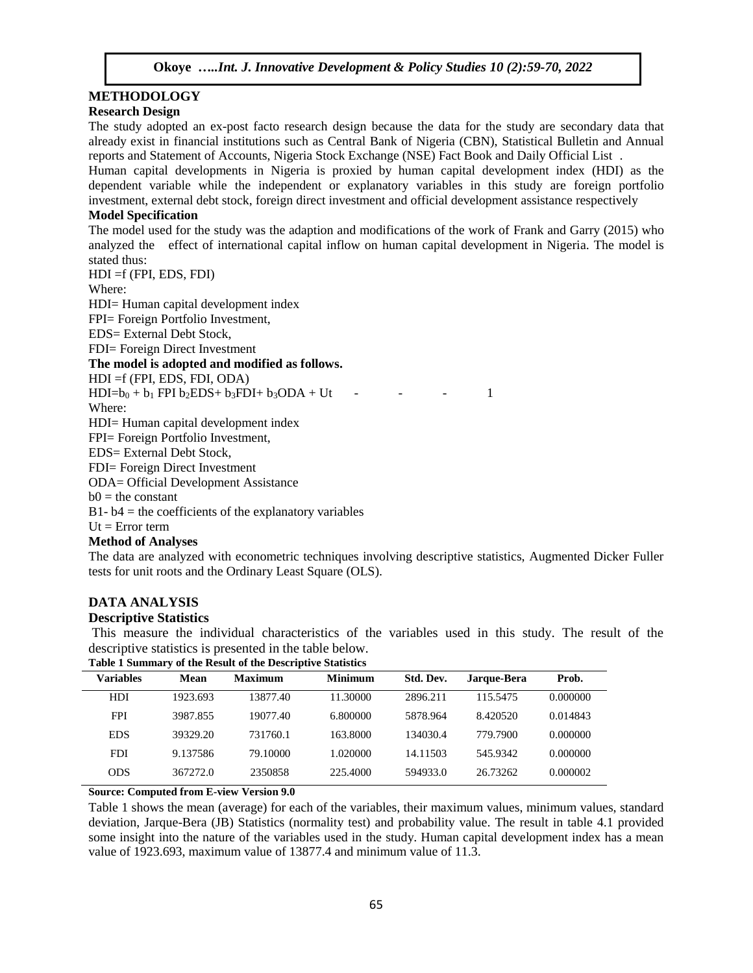## **METHODOLOGY**

## **Research Design**

The study adopted an ex-post facto research design because the data for the study are secondary data that already exist in financial institutions such as Central Bank of Nigeria (CBN), Statistical Bulletin and Annual reports and Statement of Accounts, Nigeria Stock Exchange (NSE) Fact Book and Daily Official List .

Human capital developments in Nigeria is proxied by human capital development index (HDI) as the dependent variable while the independent or explanatory variables in this study are foreign portfolio investment, external debt stock, foreign direct investment and official development assistance respectively

## **Model Specification**

The model used for the study was the adaption and modifications of the work of Frank and Garry (2015) who analyzed the effect of international capital inflow on human capital development in Nigeria. The model is stated thus:

HDI =f (FPI, EDS, FDI)

Where:

HDI= Human capital development index

FPI= Foreign Portfolio Investment,

EDS= External Debt Stock,

FDI= Foreign Direct Investment

**The model is adopted and modified as follows.** 

HDI =f (FPI, EDS, FDI, ODA)

 $HDI=b_0 + b_1 FPI b_2 EDS + b_3 FDI + b_3 ODA + Ut$  - - - 1

Where:

HDI= Human capital development index

FPI= Foreign Portfolio Investment,

EDS= External Debt Stock,

FDI= Foreign Direct Investment

ODA= Official Development Assistance

 $b0 =$  the constant

 $B1 - b4$  = the coefficients of the explanatory variables

 $Ut = Error term$ 

#### **Method of Analyses**

The data are analyzed with econometric techniques involving descriptive statistics, Augmented Dicker Fuller tests for unit roots and the Ordinary Least Square (OLS).

## **DATA ANALYSIS**

#### **Descriptive Statistics**

This measure the individual characteristics of the variables used in this study. The result of the descriptive statistics is presented in the table below.

| <b>Table 1 Summary of the Result of the Descriptive Statistics</b> |          |                |                |           |             |          |
|--------------------------------------------------------------------|----------|----------------|----------------|-----------|-------------|----------|
| <b>Variables</b>                                                   | Mean     | <b>Maximum</b> | <b>Minimum</b> | Std. Dev. | Jarque-Bera | Prob.    |
| <b>HDI</b>                                                         | 1923.693 | 13877.40       | 11.30000       | 2896.211  | 115.5475    | 0.000000 |
| <b>FPI</b>                                                         | 3987.855 | 19077.40       | 6.800000       | 5878.964  | 8.420520    | 0.014843 |
| <b>EDS</b>                                                         | 39329.20 | 731760.1       | 163.8000       | 134030.4  | 779.7900    | 0.000000 |
| <b>FDI</b>                                                         | 9.137586 | 79.10000       | 1.020000       | 14.11503  | 545.9342    | 0.000000 |
| <b>ODS</b>                                                         | 367272.0 | 2350858        | 225,4000       | 594933.0  | 26.73262    | 0.000002 |
|                                                                    |          |                |                |           |             |          |

**Source: Computed from E-view Version 9.0** 

Table 1 shows the mean (average) for each of the variables, their maximum values, minimum values, standard deviation, Jarque-Bera (JB) Statistics (normality test) and probability value. The result in table 4.1 provided some insight into the nature of the variables used in the study. Human capital development index has a mean value of 1923.693, maximum value of 13877.4 and minimum value of 11.3.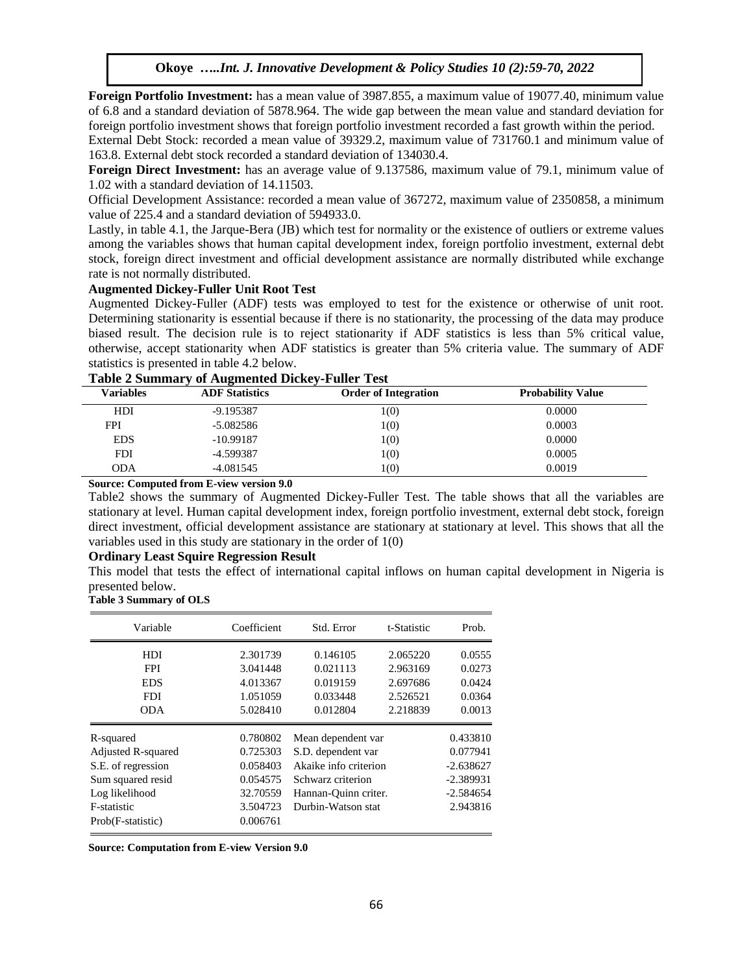**Foreign Portfolio Investment:** has a mean value of 3987.855, a maximum value of 19077.40, minimum value of 6.8 and a standard deviation of 5878.964. The wide gap between the mean value and standard deviation for foreign portfolio investment shows that foreign portfolio investment recorded a fast growth within the period.

External Debt Stock: recorded a mean value of 39329.2, maximum value of 731760.1 and minimum value of 163.8. External debt stock recorded a standard deviation of 134030.4.

**Foreign Direct Investment:** has an average value of 9.137586, maximum value of 79.1, minimum value of 1.02 with a standard deviation of 14.11503.

Official Development Assistance: recorded a mean value of 367272, maximum value of 2350858, a minimum value of 225.4 and a standard deviation of 594933.0.

Lastly, in table 4.1, the Jarque-Bera (JB) which test for normality or the existence of outliers or extreme values among the variables shows that human capital development index, foreign portfolio investment, external debt stock, foreign direct investment and official development assistance are normally distributed while exchange rate is not normally distributed.

#### **Augmented Dickey-Fuller Unit Root Test**

Augmented Dickey-Fuller (ADF) tests was employed to test for the existence or otherwise of unit root. Determining stationarity is essential because if there is no stationarity, the processing of the data may produce biased result. The decision rule is to reject stationarity if ADF statistics is less than 5% critical value, otherwise, accept stationarity when ADF statistics is greater than 5% criteria value. The summary of ADF statistics is presented in table 4.2 below.

|  | <b>Table 2 Summary of Augmented Dickey-Fuller Test</b> |  |
|--|--------------------------------------------------------|--|
|  |                                                        |  |

| Variables  | <b>ADF</b> Statistics | <b>Order of Integration</b> | <b>Probability Value</b> |
|------------|-----------------------|-----------------------------|--------------------------|
| HDI        | $-9.195387$           | 1(0)                        | 0.0000                   |
| FPI        | $-5.082586$           | 1(0)                        | 0.0003                   |
| <b>EDS</b> | $-10.99187$           | 1(0)                        | 0.0000                   |
| <b>FDI</b> | -4.599387             | 1(0)                        | 0.0005                   |
| ODA        | $-4.081545$           | 1(0)                        | 0.0019                   |

**Source: Computed from E-view version 9.0** 

Table2 shows the summary of Augmented Dickey-Fuller Test. The table shows that all the variables are stationary at level. Human capital development index, foreign portfolio investment, external debt stock, foreign direct investment, official development assistance are stationary at stationary at level. This shows that all the variables used in this study are stationary in the order of 1(0)

#### **Ordinary Least Squire Regression Result**

This model that tests the effect of international capital inflows on human capital development in Nigeria is presented below.

|  | Table 3 Summary of OLS |  |
|--|------------------------|--|
|--|------------------------|--|

| Variable                      | Coefficient | Std. Error            | t-Statistic | Prob.       |
|-------------------------------|-------------|-----------------------|-------------|-------------|
| <b>HDI</b>                    | 2.301739    | 0.146105              | 2.065220    | 0.0555      |
| <b>FPI</b>                    | 3.041448    | 0.021113              | 2.963169    | 0.0273      |
| <b>EDS</b>                    | 4.013367    | 0.019159              | 2.697686    | 0.0424      |
| <b>FDI</b>                    | 1.051059    | 0.033448              | 2.526521    | 0.0364      |
| ODA                           | 5.028410    | 0.012804              | 2.218839    | 0.0013      |
| R-squared                     | 0.780802    | Mean dependent var    |             | 0.433810    |
| Adjusted R-squared            | 0.725303    | S.D. dependent var    |             | 0.077941    |
| S.E. of regression            | 0.058403    | Akaike info criterion |             | $-2.638627$ |
| Sum squared resid             | 0.054575    | Schwarz criterion     |             | $-2.389931$ |
| Log likelihood                | 32.70559    | Hannan-Quinn criter.  |             | $-2.584654$ |
| F-statistic                   | 3.504723    | Durbin-Watson stat    |             | 2.943816    |
| 0.006761<br>Prob(F-statistic) |             |                       |             |             |

**Source: Computation from E-view Version 9.0**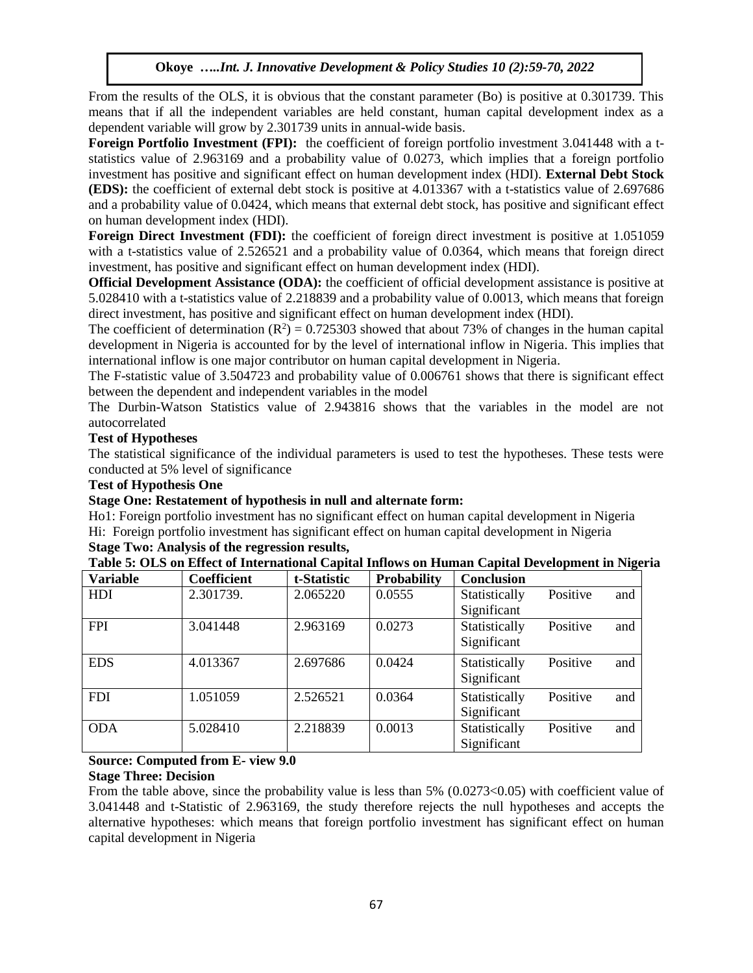From the results of the OLS, it is obvious that the constant parameter (Bo) is positive at 0.301739. This means that if all the independent variables are held constant, human capital development index as a dependent variable will grow by 2.301739 units in annual-wide basis.

**Foreign Portfolio Investment (FPI):** the coefficient of foreign portfolio investment 3.041448 with a tstatistics value of 2.963169 and a probability value of 0.0273, which implies that a foreign portfolio investment has positive and significant effect on human development index (HDI). **External Debt Stock (EDS):** the coefficient of external debt stock is positive at 4.013367 with a t-statistics value of 2.697686 and a probability value of 0.0424, which means that external debt stock, has positive and significant effect on human development index (HDI).

**Foreign Direct Investment (FDI):** the coefficient of foreign direct investment is positive at 1.051059 with a t-statistics value of 2.526521 and a probability value of 0.0364, which means that foreign direct investment, has positive and significant effect on human development index (HDI).

**Official Development Assistance (ODA):** the coefficient of official development assistance is positive at 5.028410 with a t-statistics value of 2.218839 and a probability value of 0.0013, which means that foreign direct investment, has positive and significant effect on human development index (HDI).

The coefficient of determination  $(R^2) = 0.725303$  showed that about 73% of changes in the human capital development in Nigeria is accounted for by the level of international inflow in Nigeria. This implies that international inflow is one major contributor on human capital development in Nigeria.

The F-statistic value of 3.504723 and probability value of 0.006761 shows that there is significant effect between the dependent and independent variables in the model

The Durbin-Watson Statistics value of 2.943816 shows that the variables in the model are not autocorrelated

## **Test of Hypotheses**

The statistical significance of the individual parameters is used to test the hypotheses. These tests were conducted at 5% level of significance

## **Test of Hypothesis One**

## **Stage One: Restatement of hypothesis in null and alternate form:**

Ho1: Foreign portfolio investment has no significant effect on human capital development in Nigeria Hi: Foreign portfolio investment has significant effect on human capital development in Nigeria **Stage Two: Analysis of the regression results,**

## **Table 5: OLS on Effect of International Capital Inflows on Human Capital Development in Nigeria**

| <b>Variable</b> | <b>Coefficient</b> | t-Statistic | <b>Probability</b> | <b>Conclusion</b> |          |     |
|-----------------|--------------------|-------------|--------------------|-------------------|----------|-----|
| HDI             | 2.301739.          | 2.065220    | 0.0555             | Statistically     | Positive | and |
|                 |                    |             |                    | Significant       |          |     |
| <b>FPI</b>      | 3.041448           | 2.963169    | 0.0273             | Statistically     | Positive | and |
|                 |                    |             |                    | Significant       |          |     |
| <b>EDS</b>      | 4.013367           | 2.697686    | 0.0424             | Statistically     | Positive | and |
|                 |                    |             |                    | Significant       |          |     |
| <b>FDI</b>      | 1.051059           | 2.526521    | 0.0364             | Statistically     | Positive | and |
|                 |                    |             |                    | Significant       |          |     |
| <b>ODA</b>      | 5.028410           | 2.218839    | 0.0013             | Statistically     | Positive | and |
|                 |                    |             |                    | Significant       |          |     |

## **Source: Computed from E- view 9.0**

## **Stage Three: Decision**

From the table above, since the probability value is less than 5% (0.0273<0.05) with coefficient value of 3.041448 and t-Statistic of 2.963169, the study therefore rejects the null hypotheses and accepts the alternative hypotheses: which means that foreign portfolio investment has significant effect on human capital development in Nigeria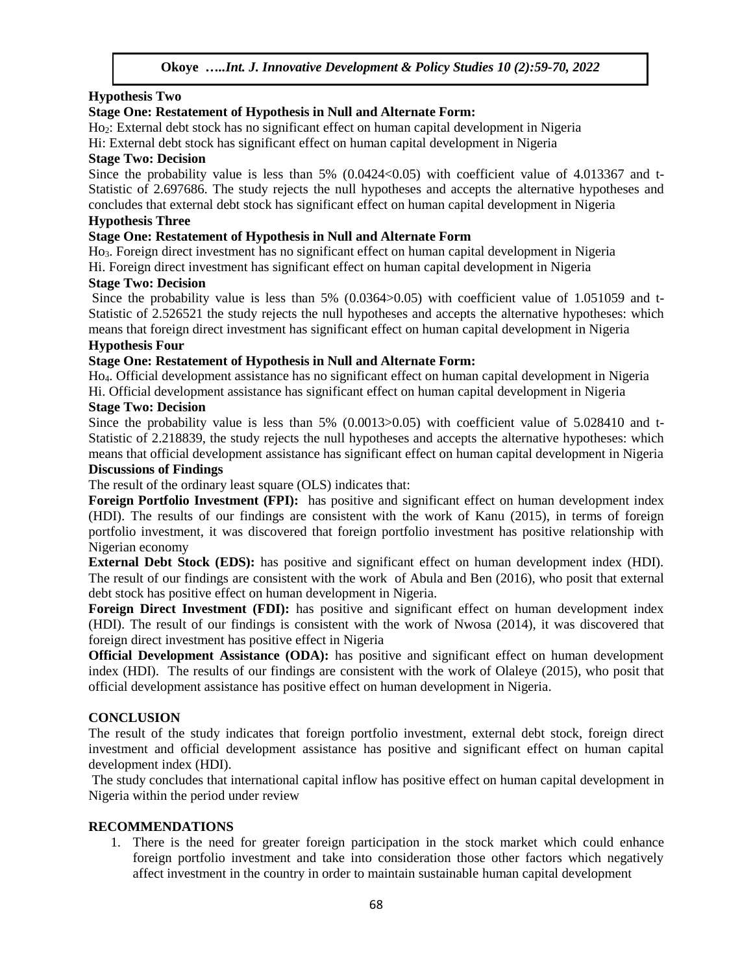## **Hypothesis Two**

## **Stage One: Restatement of Hypothesis in Null and Alternate Form:**

Ho2: External debt stock has no significant effect on human capital development in Nigeria

## Hi: External debt stock has significant effect on human capital development in Nigeria

## **Stage Two: Decision**

Since the probability value is less than  $5\%$  (0.0424 < 0.05) with coefficient value of 4.013367 and t-Statistic of 2.697686. The study rejects the null hypotheses and accepts the alternative hypotheses and concludes that external debt stock has significant effect on human capital development in Nigeria

## **Hypothesis Three**

## **Stage One: Restatement of Hypothesis in Null and Alternate Form**

Ho3. Foreign direct investment has no significant effect on human capital development in Nigeria Hi. Foreign direct investment has significant effect on human capital development in Nigeria

## **Stage Two: Decision**

Since the probability value is less than 5% (0.0364 $> 0.05$ ) with coefficient value of 1.051059 and t-Statistic of 2.526521 the study rejects the null hypotheses and accepts the alternative hypotheses: which means that foreign direct investment has significant effect on human capital development in Nigeria

## **Hypothesis Four**

## **Stage One: Restatement of Hypothesis in Null and Alternate Form:**

Ho4. Official development assistance has no significant effect on human capital development in Nigeria Hi. Official development assistance has significant effect on human capital development in Nigeria

## **Stage Two: Decision**

Since the probability value is less than 5% (0.0013>0.05) with coefficient value of 5.028410 and t-Statistic of 2.218839, the study rejects the null hypotheses and accepts the alternative hypotheses: which means that official development assistance has significant effect on human capital development in Nigeria

## **Discussions of Findings**

The result of the ordinary least square (OLS) indicates that:

**Foreign Portfolio Investment (FPI):** has positive and significant effect on human development index (HDI). The results of our findings are consistent with the work of Kanu (2015), in terms of foreign portfolio investment, it was discovered that foreign portfolio investment has positive relationship with Nigerian economy

**External Debt Stock (EDS):** has positive and significant effect on human development index (HDI). The result of our findings are consistent with the work of Abula and Ben (2016), who posit that external debt stock has positive effect on human development in Nigeria.

**Foreign Direct Investment (FDI):** has positive and significant effect on human development index (HDI). The result of our findings is consistent with the work of Nwosa (2014), it was discovered that foreign direct investment has positive effect in Nigeria

**Official Development Assistance (ODA):** has positive and significant effect on human development index (HDI). The results of our findings are consistent with the work of Olaleye (2015), who posit that official development assistance has positive effect on human development in Nigeria.

## **CONCLUSION**

The result of the study indicates that foreign portfolio investment, external debt stock, foreign direct investment and official development assistance has positive and significant effect on human capital development index (HDI).

The study concludes that international capital inflow has positive effect on human capital development in Nigeria within the period under review

## **RECOMMENDATIONS**

1. There is the need for greater foreign participation in the stock market which could enhance foreign portfolio investment and take into consideration those other factors which negatively affect investment in the country in order to maintain sustainable human capital development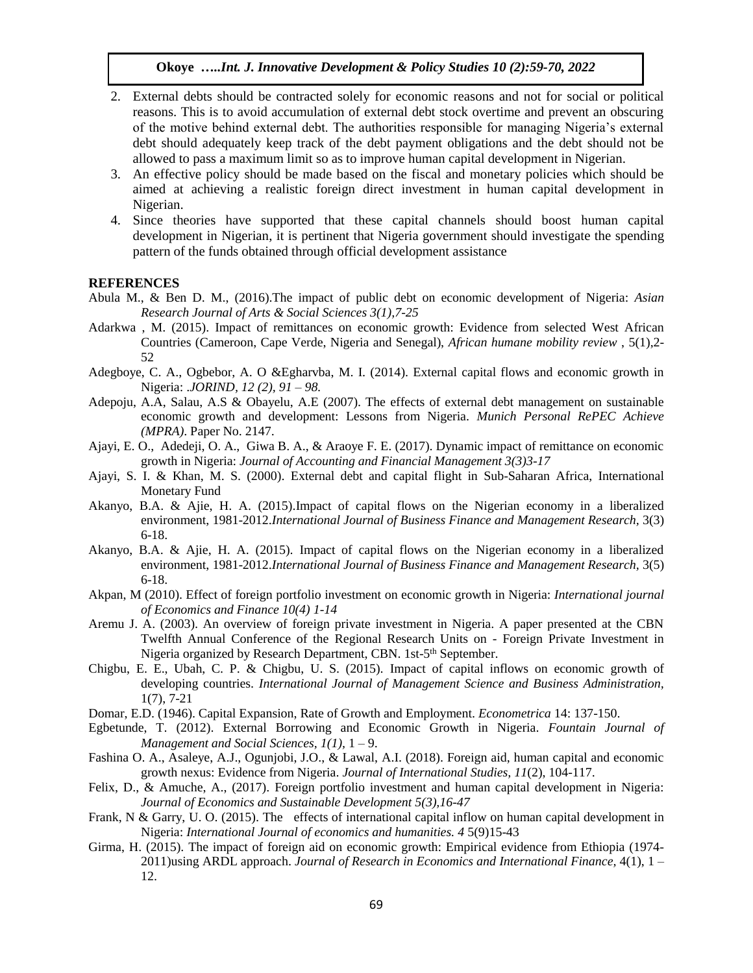- 2. External debts should be contracted solely for economic reasons and not for social or political reasons. This is to avoid accumulation of external debt stock overtime and prevent an obscuring of the motive behind external debt. The authorities responsible for managing Nigeria's external debt should adequately keep track of the debt payment obligations and the debt should not be allowed to pass a maximum limit so as to improve human capital development in Nigerian.
- 3. An effective policy should be made based on the fiscal and monetary policies which should be aimed at achieving a realistic foreign direct investment in human capital development in Nigerian.
- 4. Since theories have supported that these capital channels should boost human capital development in Nigerian, it is pertinent that Nigeria government should investigate the spending pattern of the funds obtained through official development assistance

#### **REFERENCES**

- Abula M., & Ben D. M., (2016).The impact of public debt on economic development of Nigeria: *Asian Research Journal of Arts & Social Sciences 3(1),7-25*
- Adarkwa , M. (2015). Impact of remittances on economic growth: Evidence from selected West African Countries (Cameroon, Cape Verde, Nigeria and Senegal), *African humane mobility review* , 5(1),2- 52
- Adegboye, C. A., Ogbebor, A. O &Egharvba, M. I. (2014). External capital flows and economic growth in Nigeria: .*JORIND, 12 (2), 91 – 98.*
- Adepoju, A.A, Salau, A.S & Obayelu, A.E (2007). The effects of external debt management on sustainable economic growth and development: Lessons from Nigeria. *Munich Personal RePEC Achieve (MPRA)*. Paper No. 2147.
- Ajayi, E. O., Adedeji, O. A., Giwa B. A., & Araoye F. E. (2017). Dynamic impact of remittance on economic growth in Nigeria: *Journal of Accounting and Financial Management 3(3)3-17*
- Ajayi, S. I. & Khan, M. S. (2000). External debt and capital flight in Sub-Saharan Africa, International Monetary Fund
- Akanyo, B.A. & Ajie, H. A. (2015).Impact of capital flows on the Nigerian economy in a liberalized environment, 1981-2012.*International Journal of Business Finance and Management Research*, 3(3) 6-18.
- Akanyo, B.A. & Ajie, H. A. (2015). Impact of capital flows on the Nigerian economy in a liberalized environment, 1981-2012.*International Journal of Business Finance and Management Research*, 3(5) 6-18.
- Akpan, M (2010). Effect of foreign portfolio investment on economic growth in Nigeria: *International journal of Economics and Finance 10(4) 1-14*
- Aremu J. A. (2003). An overview of foreign private investment in Nigeria. A paper presented at the CBN Twelfth Annual Conference of the Regional Research Units on - Foreign Private Investment in Nigeria organized by Research Department, CBN. 1st-5<sup>th</sup> September.
- Chigbu, E. E., Ubah, C. P. & Chigbu, U. S. (2015). Impact of capital inflows on economic growth of developing countries. *International Journal of Management Science and Business Administration,*  1(7), 7-21
- Domar, E.D. (1946). Capital Expansion, Rate of Growth and Employment. *Econometrica* 14: 137-150.
- Egbetunde, T. (2012). External Borrowing and Economic Growth in Nigeria. *Fountain Journal of Management and Social Sciences, 1(1),* 1 – 9.
- Fashina O. A., Asaleye, A.J., Ogunjobi, J.O., & Lawal, A.I. (2018). Foreign aid, human capital and economic growth nexus: Evidence from Nigeria. *Journal of International Studies, 11*(2), 104-117.
- Felix, D., & Amuche, A., (2017). Foreign portfolio investment and human capital development in Nigeria: *Journal of Economics and Sustainable Development 5(3),16-47*
- Frank, N & Garry, U. O. (2015). The effects of international capital inflow on human capital development in Nigeria: *International Journal of economics and humanities. 4* 5(9)15-43
- Girma, H. (2015). The impact of foreign aid on economic growth: Empirical evidence from Ethiopia (1974- 2011)using ARDL approach. *Journal of Research in Economics and International Finance,* 4(1), 1 – 12.